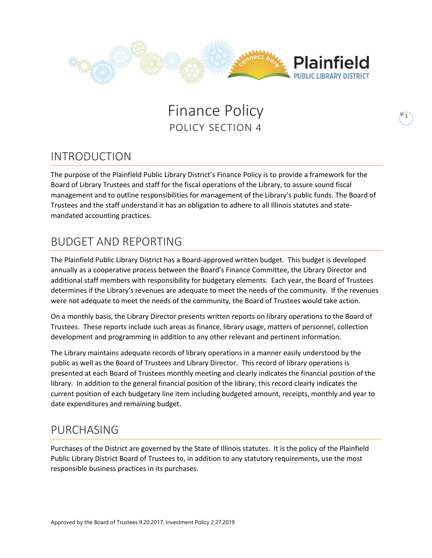

# **Finance Policy** POLICY SECTION 4

# INTRODUCTION

The purpose of the Plainfield Public Library District's Finance Policy is to provide a framework for the Board of Library Trustees and staff for the fiscal operations of the Library, to assure sound fiscal management and to outline responsibilities for management of the Library's public funds. The Board of Trustees and the staff understand it has an obligation to adhere to all Illinois statutes and statemandated accounting practices.

## BUDGET AND REPORTING

The Plainfield Public Library District has a Board-approved written budget. This budget is developed annually as a cooperative process between the Board's Finance Committee, the Library Director and additional staff members with responsibility for budgetary elements. Each year, the Board of Trustees determines if the Library's revenues are adequate to meet the needs of the community. If the revenues were not adequate to meet the needs of the community, the Board of Trustees would take action.

On a monthly basis, the Library Director presents written reports on library operations to the Board of Trustees. These reports include such areas as finance, library usage, matters of personnel, collection development and programming in addition to any other relevant and pertinent information.

The Library maintains adequate records of library operations in a manner easily understood by the public as well as the Board of Trustees and Library Director. This record of library operations is presented at each Board of Trustees monthly meeting and clearly indicates the financial position of the library. In addition to the general financial position of the library, this record clearly indicates the current position of each budgetary line item including budgeted amount, receipts, monthly and year to date expenditures and remaining budget.

### PURCHASING

Purchases of the District are governed by the State of Illinois statutes. It is the policy of the Plainfield Public Library District Board of Trustees to, in addition to any statutory requirements, use the most responsible business practices in its purchases.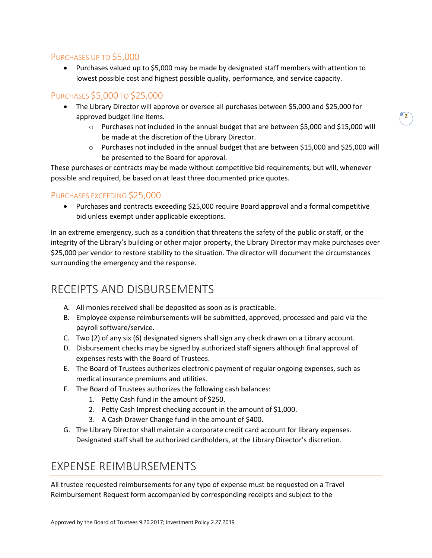#### PURCHASES UP TO \$5,000

• Purchases valued up to \$5,000 may be made by designated staff members with attention to lowest possible cost and highest possible quality, performance, and service capacity.

#### PURCHASES \$5,000 TO \$25,000

- The Library Director will approve or oversee all purchases between \$5,000 and \$25,000 for approved budget line items.
	- o Purchases not included in the annual budget that are between \$5,000 and \$15,000 will be made at the discretion of the Library Director.
	- o Purchases not included in the annual budget that are between \$15,000 and \$25,000 will be presented to the Board for approval.

These purchases or contracts may be made without competitive bid requirements, but will, whenever possible and required, be based on at least three documented price quotes.

#### PURCHASES EXCEEDING \$25,000

• Purchases and contracts exceeding \$25,000 require Board approval and a formal competitive bid unless exempt under applicable exceptions.

In an extreme emergency, such as a condition that threatens the safety of the public or staff, or the integrity of the Library's building or other major property, the Library Director may make purchases over \$25,000 per vendor to restore stability to the situation. The director will document the circumstances surrounding the emergency and the response.

### RECEIPTS AND DISBURSEMENTS

- A. All monies received shall be deposited as soon as is practicable.
- B. Employee expense reimbursements will be submitted, approved, processed and paid via the payroll software/service.
- C. Two (2) of any six (6) designated signers shall sign any check drawn on a Library account.
- D. Disbursement checks may be signed by authorized staff signers although final approval of expenses rests with the Board of Trustees.
- E. The Board of Trustees authorizes electronic payment of regular ongoing expenses, such as medical insurance premiums and utilities.
- F. The Board of Trustees authorizes the following cash balances:
	- 1. Petty Cash fund in the amount of \$250.
	- 2. Petty Cash Imprest checking account in the amount of \$1,000.
	- 3. A Cash Drawer Change fund in the amount of \$400.
- G. The Library Director shall maintain a corporate credit card account for library expenses. Designated staff shall be authorized cardholders, at the Library Director's discretion.

### EXPENSE REIMBURSEMENTS

All trustee requested reimbursements for any type of expense must be requested on a Travel Reimbursement Request form accompanied by corresponding receipts and subject to the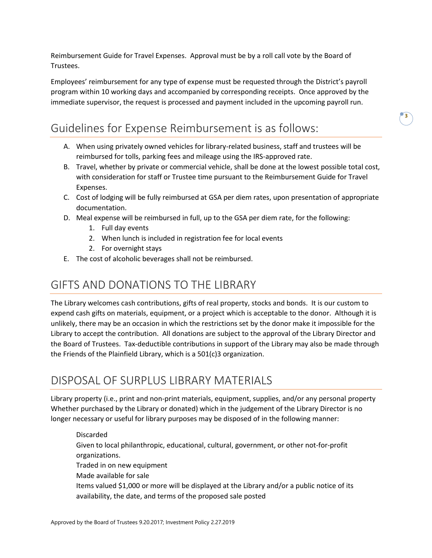Reimbursement Guide for Travel Expenses. Approval must be by a roll call vote by the Board of Trustees.

Employees' reimbursement for any type of expense must be requested through the District's payroll program within 10 working days and accompanied by corresponding receipts. Once approved by the immediate supervisor, the request is processed and payment included in the upcoming payroll run.

# Guidelines for Expense Reimbursement is as follows:

- A. When using privately owned vehicles for library-related business, staff and trustees will be reimbursed for tolls, parking fees and mileage using the IRS-approved rate.
- B. Travel, whether by private or commercial vehicle, shall be done at the lowest possible total cost, with consideration for staff or Trustee time pursuant to the Reimbursement Guide for Travel Expenses.
- C. Cost of lodging will be fully reimbursed at GSA per diem rates, upon presentation of appropriate documentation.
- D. Meal expense will be reimbursed in full, up to the GSA per diem rate, for the following:
	- 1. Full day events
	- 2. When lunch is included in registration fee for local events
	- 2. For overnight stays
- E. The cost of alcoholic beverages shall not be reimbursed.

### GIFTS AND DONATIONS TO THE LIBRARY

The Library welcomes cash contributions, gifts of real property, stocks and bonds. It is our custom to expend cash gifts on materials, equipment, or a project which is acceptable to the donor. Although it is unlikely, there may be an occasion in which the restrictions set by the donor make it impossible for the Library to accept the contribution. All donations are subject to the approval of the Library Director and the Board of Trustees. Tax-deductible contributions in support of the Library may also be made through the Friends of the Plainfield Library, which is a 501(c)3 organization.

### DISPOSAL OF SURPLUS LIBRARY MATERIALS

Library property (i.e., print and non-print materials, equipment, supplies, and/or any personal property Whether purchased by the Library or donated) which in the judgement of the Library Director is no longer necessary or useful for library purposes may be disposed of in the following manner:

Discarded Given to local philanthropic, educational, cultural, government, or other not-for-profit organizations. Traded in on new equipment Made available for sale Items valued \$1,000 or more will be displayed at the Library and/or a public notice of its availability, the date, and terms of the proposed sale posted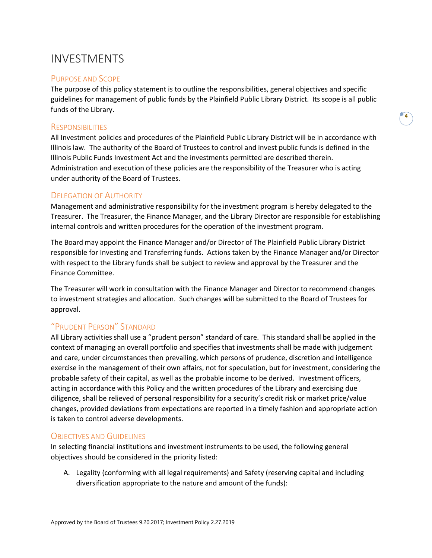## INVESTMENTS

#### PURPOSE AND SCOPE

The purpose of this policy statement is to outline the responsibilities, general objectives and specific guidelines for management of public funds by the Plainfield Public Library District. Its scope is all public funds of the Library.

#### **RESPONSIBILITIES**

All Investment policies and procedures of the Plainfield Public Library District will be in accordance with Illinois law. The authority of the Board of Trustees to control and invest public funds is defined in the Illinois Public Funds Investment Act and the investments permitted are described therein. Administration and execution of these policies are the responsibility of the Treasurer who is acting under authority of the Board of Trustees.

#### DELEGATION OF AUTHORITY

Management and administrative responsibility for the investment program is hereby delegated to the Treasurer. The Treasurer, the Finance Manager, and the Library Director are responsible for establishing internal controls and written procedures for the operation of the investment program.

The Board may appoint the Finance Manager and/or Director of The Plainfield Public Library District responsible for Investing and Transferring funds. Actions taken by the Finance Manager and/or Director with respect to the Library funds shall be subject to review and approval by the Treasurer and the Finance Committee.

The Treasurer will work in consultation with the Finance Manager and Director to recommend changes to investment strategies and allocation. Such changes will be submitted to the Board of Trustees for approval.

#### "PRUDENT PERSON" STANDARD

All Library activities shall use a "prudent person" standard of care. This standard shall be applied in the context of managing an overall portfolio and specifies that investments shall be made with judgement and care, under circumstances then prevailing, which persons of prudence, discretion and intelligence exercise in the management of their own affairs, not for speculation, but for investment, considering the probable safety of their capital, as well as the probable income to be derived. Investment officers, acting in accordance with this Policy and the written procedures of the Library and exercising due diligence, shall be relieved of personal responsibility for a security's credit risk or market price/value changes, provided deviations from expectations are reported in a timely fashion and appropriate action is taken to control adverse developments.

#### **OBJECTIVES AND GUIDELINES**

In selecting financial institutions and investment instruments to be used, the following general objectives should be considered in the priority listed:

A. Legality (conforming with all legal requirements) and Safety (reserving capital and including diversification appropriate to the nature and amount of the funds):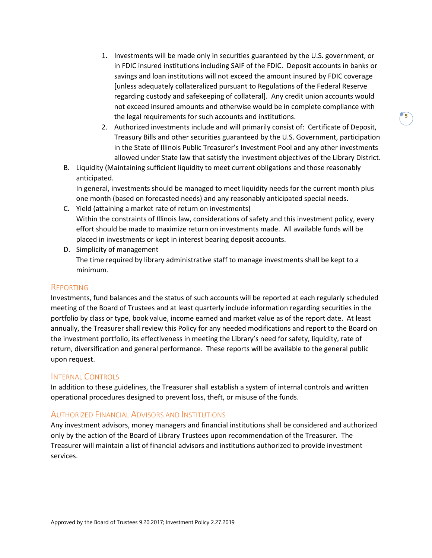- 1. Investments will be made only in securities guaranteed by the U.S. government, or in FDIC insured institutions including SAIF of the FDIC. Deposit accounts in banks or savings and loan institutions will not exceed the amount insured by FDIC coverage [unless adequately collateralized pursuant to Regulations of the Federal Reserve regarding custody and safekeeping of collateral]. Any credit union accounts would not exceed insured amounts and otherwise would be in complete compliance with the legal requirements for such accounts and institutions.
- 2. Authorized investments include and will primarily consist of: Certificate of Deposit, Treasury Bills and other securities guaranteed by the U.S. Government, participation in the State of Illinois Public Treasurer's Investment Pool and any other investments allowed under State law that satisfy the investment objectives of the Library District.
- B. Liquidity (Maintaining sufficient liquidity to meet current obligations and those reasonably anticipated.

In general, investments should be managed to meet liquidity needs for the current month plus one month (based on forecasted needs) and any reasonably anticipated special needs.

- C. Yield (attaining a market rate of return on investments) Within the constraints of Illinois law, considerations of safety and this investment policy, every effort should be made to maximize return on investments made. All available funds will be placed in investments or kept in interest bearing deposit accounts.
- D. Simplicity of management The time required by library administrative staff to manage investments shall be kept to a minimum.

#### REPORTING

Investments, fund balances and the status of such accounts will be reported at each regularly scheduled meeting of the Board of Trustees and at least quarterly include information regarding securities in the portfolio by class or type, book value, income earned and market value as of the report date. At least annually, the Treasurer shall review this Policy for any needed modifications and report to the Board on the investment portfolio, its effectiveness in meeting the Library's need for safety, liquidity, rate of return, diversification and general performance. These reports will be available to the general public upon request.

#### INTERNAL CONTROLS

In addition to these guidelines, the Treasurer shall establish a system of internal controls and written operational procedures designed to prevent loss, theft, or misuse of the funds.

#### AUTHORIZED FINANCIAL ADVISORS AND INSTITUTIONS

Any investment advisors, money managers and financial institutions shall be considered and authorized only by the action of the Board of Library Trustees upon recommendation of the Treasurer. The Treasurer will maintain a list of financial advisors and institutions authorized to provide investment services.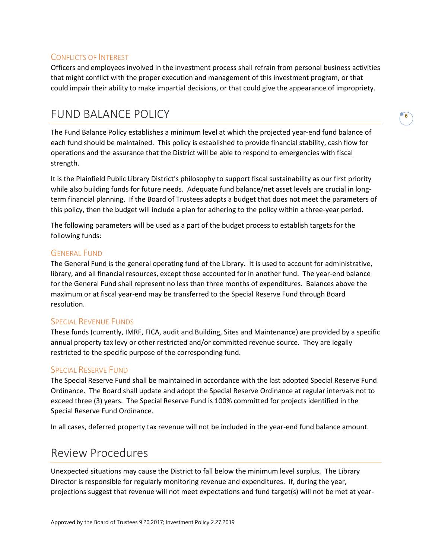#### CONFLICTS OF INTEREST

Officers and employees involved in the investment process shall refrain from personal business activities that might conflict with the proper execution and management of this investment program, or that could impair their ability to make impartial decisions, or that could give the appearance of impropriety.

### FUND BALANCE POLICY

The Fund Balance Policy establishes a minimum level at which the projected year-end fund balance of each fund should be maintained. This policy is established to provide financial stability, cash flow for operations and the assurance that the District will be able to respond to emergencies with fiscal strength.

It is the Plainfield Public Library District's philosophy to support fiscal sustainability as our first priority while also building funds for future needs. Adequate fund balance/net asset levels are crucial in longterm financial planning. If the Board of Trustees adopts a budget that does not meet the parameters of this policy, then the budget will include a plan for adhering to the policy within a three-year period.

The following parameters will be used as a part of the budget process to establish targets for the following funds:

#### GENERAL FUND

The General Fund is the general operating fund of the Library. It is used to account for administrative, library, and all financial resources, except those accounted for in another fund. The year-end balance for the General Fund shall represent no less than three months of expenditures. Balances above the maximum or at fiscal year-end may be transferred to the Special Reserve Fund through Board resolution.

#### SPECIAL REVENUE FUNDS

These funds (currently, IMRF, FICA, audit and Building, Sites and Maintenance) are provided by a specific annual property tax levy or other restricted and/or committed revenue source. They are legally restricted to the specific purpose of the corresponding fund.

#### SPECIAL RESERVE FUND

The Special Reserve Fund shall be maintained in accordance with the last adopted Special Reserve Fund Ordinance. The Board shall update and adopt the Special Reserve Ordinance at regular intervals not to exceed three (3) years. The Special Reserve Fund is 100% committed for projects identified in the Special Reserve Fund Ordinance.

In all cases, deferred property tax revenue will not be included in the year-end fund balance amount.

### Review Procedures

Unexpected situations may cause the District to fall below the minimum level surplus. The Library Director is responsible for regularly monitoring revenue and expenditures. If, during the year, projections suggest that revenue will not meet expectations and fund target(s) will not be met at year